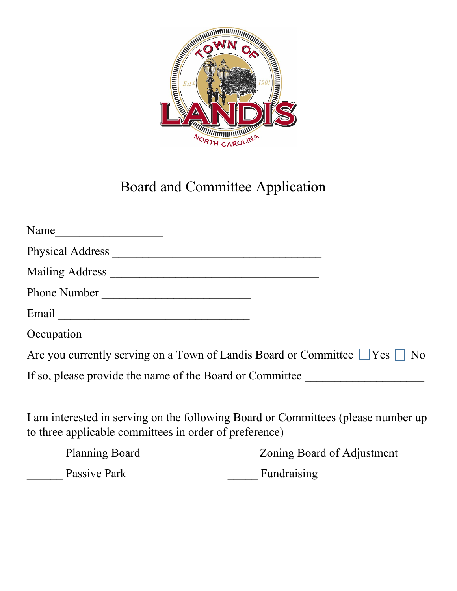

## Board and Committee Application

| Are you currently serving on a Town of Landis Board or Committee $\Box$ Yes $\Box$ No |
|---------------------------------------------------------------------------------------|
| If so, please provide the name of the Board or Committee                              |
|                                                                                       |
| Phone Number<br>Occupation                                                            |

I am interested in serving on the following Board or Committees (please number up to three applicable committees in order of preference)

| <b>Planning Board</b> | Zoning Board of Adjustment |
|-----------------------|----------------------------|
| Passive Park          | Fundraising                |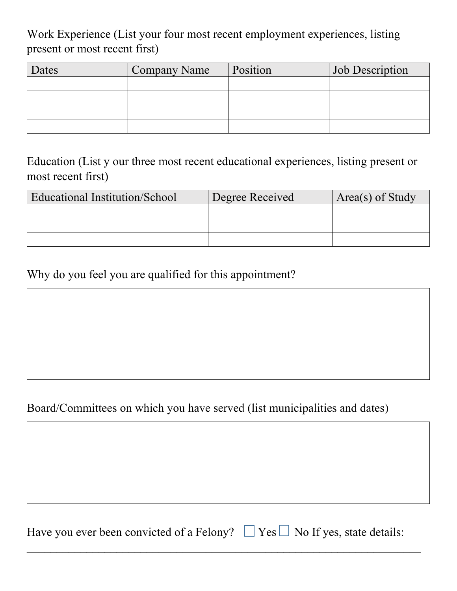Work Experience (List your four most recent employment experiences, listing present or most recent first)

| Dates | <b>Company Name</b> | Position | Job Description |
|-------|---------------------|----------|-----------------|
|       |                     |          |                 |
|       |                     |          |                 |
|       |                     |          |                 |
|       |                     |          |                 |

Education (List y our three most recent educational experiences, listing present or most recent first)

| Educational Institution/School | Degree Received | Area(s) of Study |
|--------------------------------|-----------------|------------------|
|                                |                 |                  |
|                                |                 |                  |
|                                |                 |                  |

Why do you feel you are qualified for this appointment?

## Board/Committees on which you have served (list municipalities and dates)

Have you ever been convicted of a Felony?  $\Box$  Yes  $\Box$  No If yes, state details:

 $\mathcal{L}_\text{max}$  , and the contribution of the contribution of the contribution of the contribution of the contribution of the contribution of the contribution of the contribution of the contribution of the contribution of t